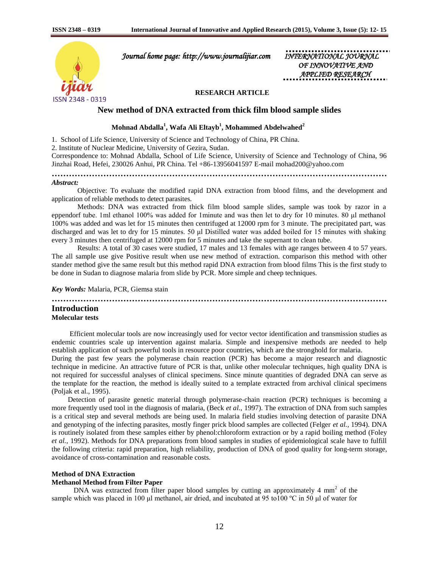

 *Journal home page: http://www.journalijiar.com INTERNATIONAL JOURNAL* 

*OF INNOVATIVE APPLIED RESEARCH* 

## **RESEARCH ARTICLE**

## **New method of DNA extracted from thick film blood sample slides**

# **Mohnad Abdalla<sup>1</sup> , Wafa Ali Eltayb<sup>1</sup> , Mohammed Abdelwahed<sup>2</sup>**

1. School of Life Science, University of Science and Technology of China, PR China.

2. Institute of Nuclear Medicine, University of Gezira, Sudan.

Correspondence to: Mohnad Abdalla, School of Life Science, University of Science and Technology of China, 96 Jinzhai Road, Hefei, 230026 Anhui, PR China. Tel +86-13956041597 E-mail mohad200@yahoo.com

**………………………………………………………………………………………………………** *Abstract:*

 Objective: To evaluate the modified rapid DNA extraction from blood films, and the development and application of reliable methods to detect parasites.

Methods: DNA was extracted from thick film blood sample slides, sample was took by razor in a eppendorf tube. 1ml ethanol 100% was added for 1minute and was then let to dry for 10 minutes. 80 μl methanol 100% was added and was let for 15 minutes then centrifuged at 12000 rpm for 3 minute. The precipitated part, was discharged and was let to dry for 15 minutes. 50 μl Distilled water was added boiled for 15 minutes with shaking every 3 minutes then centrifuged at 12000 rpm for 5 minutes and take the supernant to clean tube.

Results: A total of 30 cases were studied, 17 males and 13 females with age ranges between 4 to 57 years. The all sample use give Positive result when use new method of extraction. comparison this method with other stander method give the same result but this method rapid DNA extraction from blood films This is the first study to be done in Sudan to diagnose malaria from slide by PCR. More simple and cheep techniques.

*Key Words:* Malaria, PCR, Giemsa stain

**……………………………………………………………………………………………………… Introduction**

#### **Molecular tests**

 Efficient molecular tools are now increasingly used for vector vector identification and transmission studies as endemic countries scale up intervention against malaria. Simple and inexpensive methods are needed to help establish application of such powerful tools in resource poor countries, which are the stronghold for malaria.

During the past few years the polymerase chain reaction (PCR) has become a major research and diagnostic technique in medicine. An attractive future of PCR is that, unlike other molecular techniques, high quality DNA is not required for successful analyses of clinical specimens. Since minute quantities of degraded DNA can serve as the template for the reaction, the method is ideally suited to a template extracted from archival clinical specimens (Poljak et al., 1995).

 Detection of parasite genetic material through polymerase-chain reaction (PCR) techniques is becoming a more frequently used tool in the diagnosis of malaria, (Beck *et al.*, 1997). The extraction of DNA from such samples is a critical step and several methods are being used. In malaria field studies involving detection of parasite DNA and genotyping of the infecting parasites, mostly finger prick blood samples are collected (Felger *et al.,* 1994). DNA is routinely isolated from these samples either by phenol:chloroform extraction or by a rapid boiling method (Foley *et al.,* 1992). Methods for DNA preparations from blood samples in studies of epidemiological scale have to fulfill the following criteria: rapid preparation, high reliability, production of DNA of good quality for long-term storage, avoidance of cross-contamination and reasonable costs.

#### **Method of DNA Extraction**

#### **Methanol Method from Filter Paper**

DNA was extracted from filter paper blood samples by cutting an approximately 4  $mm<sup>2</sup>$  of the sample which was placed in 100 μl methanol, air dried, and incubated at 95 to100 ºC in 50 μl of water for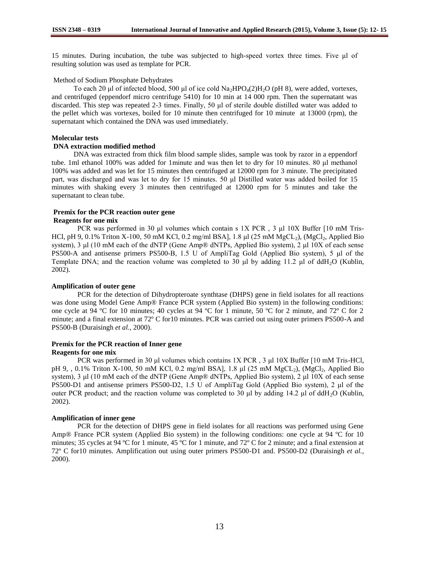15 minutes. During incubation, the tube was subjected to high-speed vortex three times. Five μl of resulting solution was used as template for PCR.

### Method of Sodium Phosphate Dehydrates

To each 20 μl of infected blood, 500 μl of ice cold  $Na_2HPO_4(2)H_2O$  (pH 8), were added, vortexes, and centrifuged (eppendorf micro centrifuge 5410) for 10 min at 14 000 rpm. Then the supernatant was discarded. This step was repeated 2-3 times. Finally, 50 μl of sterile double distilled water was added to the pellet which was vortexes, boiled for 10 minute then centrifuged for 10 minute at 13000 (rpm), the supernatant which contained the DNA was used immediately.

## **Molecular tests**

## **DNA extraction modified method**

DNA was extracted from thick film blood sample slides, sample was took by razor in a eppendorf tube. 1ml ethanol 100% was added for 1minute and was then let to dry for 10 minutes. 80 μl methanol 100% was added and was let for 15 minutes then centrifuged at 12000 rpm for 3 minute. The precipitated part, was discharged and was let to dry for 15 minutes. 50 μl Distilled water was added boiled for 15 minutes with shaking every 3 minutes then centrifuged at 12000 rpm for 5 minutes and take the supernatant to clean tube.

### **Premix for the PCR reaction outer gene Reagents for one mix**

PCR was performed in 30 μl volumes which contain s 1X PCR , 3 μl 10X Buffer [10 mM Tris-HCl, pH 9, 0.1% Triton X-100, 50 mM KCl, 0.2 mg/ml BSA], 1.8 μl (25 mM MgCL<sub>2</sub>), (MgCl<sub>2</sub>, Applied Bio system), 3 μl (10 mM each of the dNTP (Gene Amp® dNTPs, Applied Bio system), 2 μl 10X of each sense PS500-A and antisense primers PS500-B, 1.5 U of AmpliTag Gold (Applied Bio system), 5 μl of the Template DNA; and the reaction volume was completed to 30 μl by adding 11.2 μl of ddH2O (Kublin, 2002).

#### **Amplification of outer gene**

PCR for the detection of Dihydropteroate synthtase (DHPS) gene in field isolates for all reactions was done using Model Gene Amp® France PCR system (Applied Bio system) in the following conditions: one cycle at 94 ºC for 10 minutes; 40 cycles at 94 ºC for 1 minute, 50 ºC for 2 minute, and 72º C for 2 minute; and a final extension at 72º C for10 minutes. PCR was carried out using outer primers PS500-A and PS500-B (Duraisingh *et al.*, 2000).

## **Premix for the PCR reaction of Inner gene**

#### **Reagents for one mix**

PCR was performed in 30 μl volumes which contains 1X PCR , 3 μl 10X Buffer [10 mM Tris-HCl, pH 9, , 0.1% Triton X-100, 50 mM KCl, 0.2 mg/ml BSA], 1.8 μl (25 mM MgCL<sub>2</sub>), (MgCl<sub>2</sub>, Applied Bio system), 3 μl (10 mM each of the dNTP (Gene Amp® dNTPs, Applied Bio system), 2 μl 10X of each sense PS500-D1 and antisense primers PS500-D2, 1.5 U of AmpliTag Gold (Applied Bio system), 2 μl of the outer PCR product; and the reaction volume was completed to 30 μl by adding 14.2 μl of ddH<sub>2</sub>O (Kublin, 2002).

#### **Amplification of inner gene**

PCR for the detection of DHPS gene in field isolates for all reactions was performed using Gene Amp® France PCR system (Applied Bio system) in the following conditions: one cycle at 94 ºC for 10 minutes; 35 cycles at 94 ºC for 1 minute, 45 ºC for 1 minute, and 72º C for 2 minute; and a final extension at 72º C for10 minutes. Amplification out using outer primers PS500-D1 and. PS500-D2 (Duraisingh *et al.*, 2000).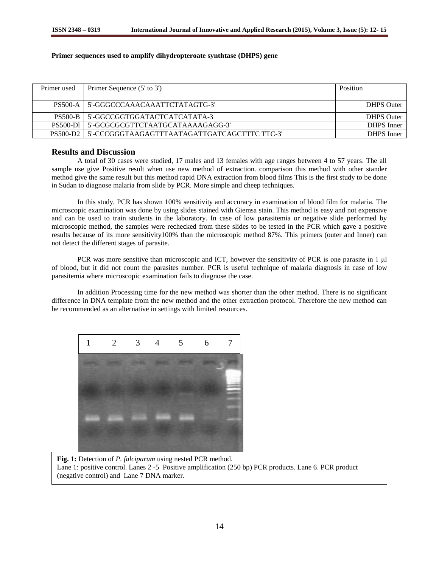## **Primer sequences used to amplify dihydropteroate synthtase (DHPS) gene**

| Primer used     | Primer Sequence (5' to 3')                   | <b>Position</b>   |
|-----------------|----------------------------------------------|-------------------|
|                 |                                              |                   |
| <b>PS500-A</b>  | 5'-GGGCCCAAACAAATTCTATAGTG-3'                | <b>DHPS</b> Outer |
| <b>PS500-B</b>  | 5'-GGCCGGTGGATACTCATCATATA-3                 | <b>DHPS</b> Outer |
| <b>PS500-D1</b> | 5'-GCGCGCGTTCTAATGCATAAAAGAGG-3'             | <b>DHPS</b> Inner |
| <b>PS500-D2</b> | 5'-CCCGGGTAAGAGTTTAATAGATTGATCAGCTTTC TTC-3' | <b>DHPS</b> Inner |

## **Results and Discussion**

A total of 30 cases were studied, 17 males and 13 females with age ranges between 4 to 57 years. The all sample use give Positive result when use new method of extraction. comparison this method with other stander method give the same result but this method rapid DNA extraction from blood films This is the first study to be done in Sudan to diagnose malaria from slide by PCR. More simple and cheep techniques.

In this study, PCR has shown 100% sensitivity and accuracy in examination of blood film for malaria. The microscopic examination was done by using slides stained with Giemsa stain. This method is easy and not expensive and can be used to train students in the laboratory. In case of low parasitemia or negative slide performed by microscopic method, the samples were rechecked from these slides to be tested in the PCR which gave a positive results because of its more sensitivity100% than the microscopic method 87%. This primers (outer and Inner) can not detect the different stages of parasite.

PCR was more sensitive than microscopic and ICT, however the sensitivity of PCR is one parasite in 1 µl of blood, but it did not count the parasites number. PCR is useful technique of malaria diagnosis in case of low parasitemia where microscopic examination fails to diagnose the case.

In addition Processing time for the new method was shorter than the other method. There is no significant difference in DNA template from the new method and the other extraction protocol. Therefore the new method can be recommended as an alternative in settings with limited resources.



**Fig. 1:** Detection of *P. falciparum* using nested PCR method. Lane 1: positive control. Lanes 2 -5 Positive amplification (250 bp) PCR products. Lane 6. PCR product (negative control) and Lane 7 DNA marker.